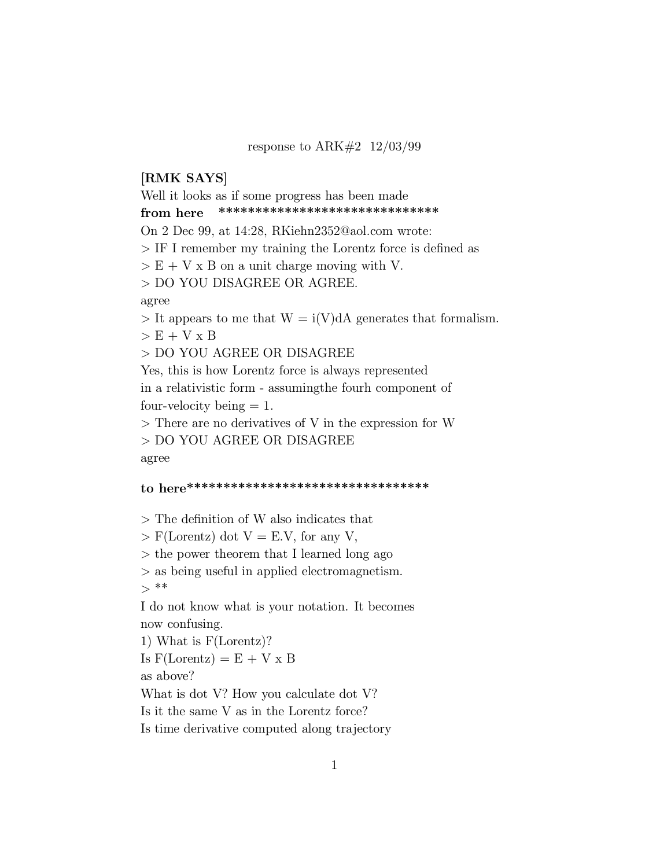#### response to ARK#2 12/03/99

## [RMK SAYS]

Well it looks as if some progress has been made from here \*\*\*\*\*\*\*\*\*\*\*\*\*\*\*\*\*\*\*\*\*\*\*\*\*\*\*\*\*\* On 2 Dec 99, at 14:28, RKiehn2352@aol.com wrote:  $>$  IF I remember my training the Lorentz force is defined as  $> E + V \times B$  on a unit charge moving with V. > DO YOU DISAGREE OR AGREE. agree  $>$  It appears to me that  $W = i(V)dA$  generates that formalism.  $> E + V x B$ > DO YOU AGREE OR DISAGREE Yes, this is how Lorentz force is always represented in a relativistic form - assumingthe fourh component of four-velocity being  $= 1$ . > There are no derivatives of V in the expression for W

> DO YOU AGREE OR DISAGREE agree

## to here\*\*\*\*\*\*\*\*\*\*\*\*\*\*\*\*\*\*\*\*\*\*\*\*\*\*\*\*\*\*\*\*\*

 $>$  The definition of W also indicates that

 $>$  F(Lorentz) dot V = E.V, for any V,

> the power theorem that I learned long ago

> as being useful in applied electromagnetism.

 $>***$ 

I do not know what is your notation. It becomes now confusing.

1) What is F(Lorentz)?

Is  $F( Lorentz) = E + V \times B$ 

as above?

What is dot V? How you calculate dot V?

Is it the same V as in the Lorentz force?

Is time derivative computed along trajectory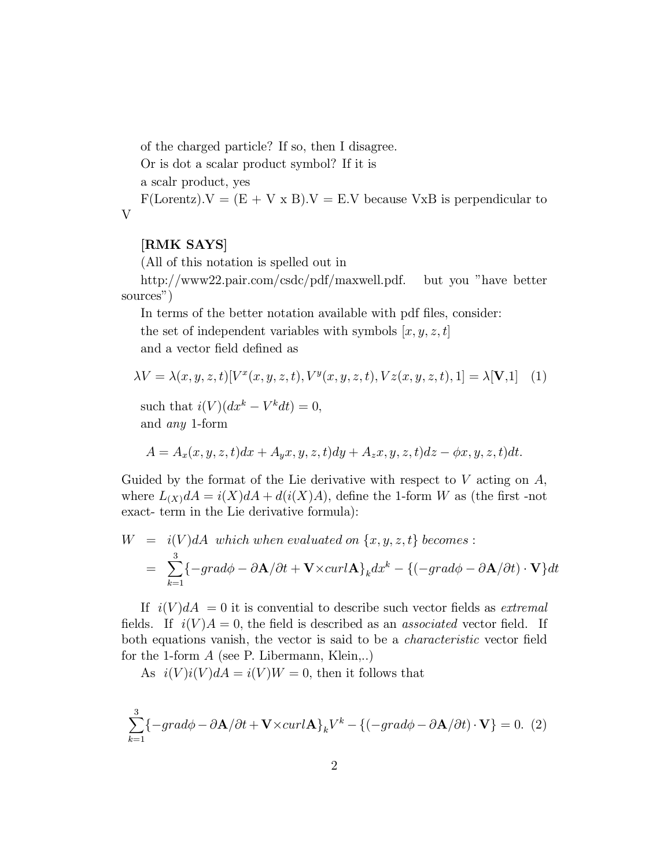of the charged particle? If so, then I disagree.

Or is dot a scalar product symbol? If it is

a scalr product, yes

 $F(\text{Lorentz})$ .  $V = (E + V \times B)$ .  $V = E.V$  because VxB is perpendicular to V

## [RMK SAYS]

(All of this notation is spelled out in

http://www22.pair.com/csdc/pdf/maxwell.pdf. but you "have better sources")

In terms of the better notation available with pdf files, consider: the set of independent variables with symbols  $[x, y, z, t]$ and a vector field defined as

$$
\lambda V = \lambda(x, y, z, t)[V^x(x, y, z, t), V^y(x, y, z, t), Vz(x, y, z, t), 1] = \lambda[\mathbf{V}, 1]
$$
 (1)

such that  $i(V)(dx^k - V^k dt) = 0$ , and any 1-form

$$
A = A_x(x, y, z, t)dx + A_yx, y, z, t)dy + A_zx, y, z, t)dz - \phi x, y, z, t)dt.
$$

Guided by the format of the Lie derivative with respect to  $V$  acting on  $A$ , where  $L_{(X)}dA = i(X)dA + d(i(X)A)$ , define the 1-form W as (the first -not exact- term in the Lie derivative formula):

$$
W = i(V)dA \text{ which when evaluated on } \{x, y, z, t\} \text{ becomes :}
$$
  
= 
$$
\sum_{k=1}^{3} \{-grad\phi - \partial \mathbf{A}/\partial t + \mathbf{V} \times \text{curl} \mathbf{A}\}_k dx^k - \{(-grad\phi - \partial \mathbf{A}/\partial t) \cdot \mathbf{V}\} dt
$$

If  $i(V) dA = 0$  it is convential to describe such vector fields as *extremal* fields. If  $i(V)A = 0$ , the field is described as an *associated* vector field. If both equations vanish, the vector is said to be a *characteristic* vector field for the 1-form  $A$  (see P. Libermann, Klein,..)

As  $i(V)i(V)dA = i(V)W = 0$ , then it follows that

$$
\sum_{k=1}^{3} \{-grad\phi - \partial \mathbf{A}/\partial t + \mathbf{V} \times curl\mathbf{A}\}_k V^k - \{(-grad\phi - \partial \mathbf{A}/\partial t) \cdot \mathbf{V}\} = 0. \tag{2}
$$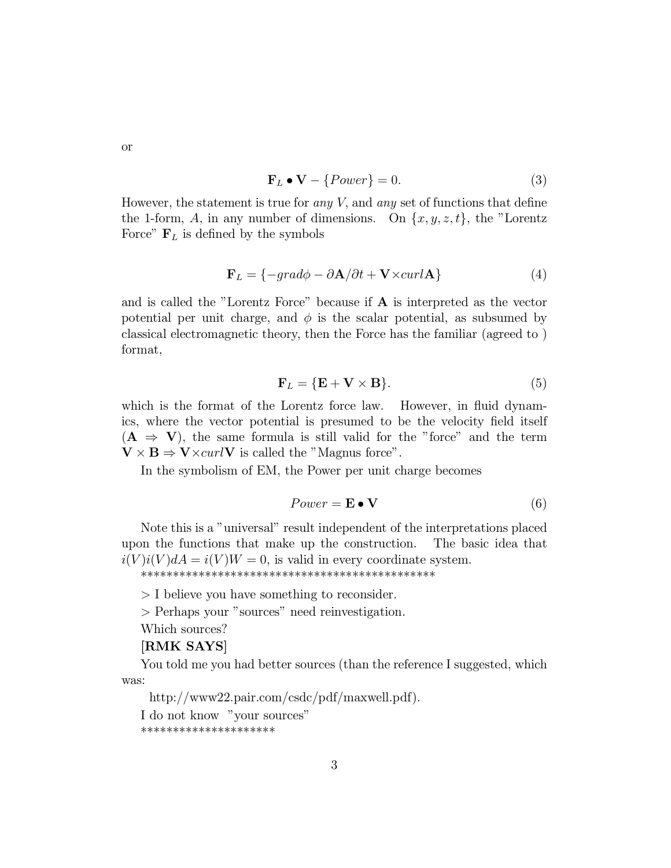$$
\mathbf{F}_L \bullet \mathbf{V} - \{Power\} = 0. \tag{3}
$$

However, the statement is true for *any*  $V$ , and *any* set of functions that define the 1-form, A, in any number of dimensions. On  $\{x, y, z, t\}$ , the "Lorentz Force"  $\mathbf{F}_L$  is defined by the symbols

$$
\mathbf{F}_L = \{-grad\phi - \partial \mathbf{A}/\partial t + \mathbf{V} \times curl\mathbf{A}\}\tag{4}
$$

and is called the "Lorentz Force" because if  $A$  is interpreted as the vector potential per unit charge, and  $\phi$  is the scalar potential, as subsumed by classical electromagnetic theory, then the Force has the familiar (agreed to) format,

$$
\mathbf{F}_L = \{ \mathbf{E} + \mathbf{V} \times \mathbf{B} \}. \tag{5}
$$

which is the format of the Lorentz force law. However, in fluid dynamics, where the vector potential is presumed to be the velocity field itself  $(A \Rightarrow V)$ , the same formula is still valid for the "force" and the term  $V \times B \Rightarrow V \times curl V$  is called the "Magnus force".

In the symbolism of EM, the Power per unit charge becomes

$$
Power = \mathbf{E} \bullet \mathbf{V} \tag{6}
$$

Note this is a "universal" result independent of the interpretations placed upon the functions that make up the construction. The basic idea that  $i(V)i(V)dA = i(V)W = 0$ , is valid in every coordinate system. 

 $>$  I believe you have something to reconsider.

> Perhaps your "sources" need reinvestigation.

Which sources?

# **RMK SAYS**

You told me you had better sources (than the reference I suggested, which was:

http://www22.pair.com/csdc/pdf/maxwell.pdf).

I do not know "your sources"

\*\*\*\*\*\*\*\*\*\*\*\*\*\*\*\*\*\*\*\*\*

**or**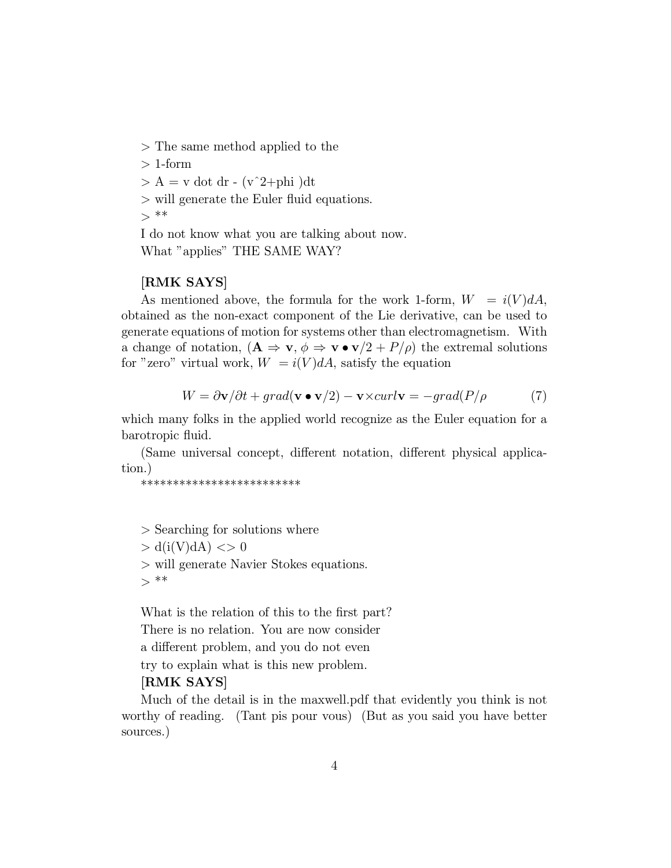> The same method applied to the

 $> 1$ -form

 $> A = v$  dot dr -  $(v^2+phi)$ 

- $>$  will generate the Euler fluid equations.
- $>$ \*\*

I do not know what you are talking about now. What "applies" THE SAME WAY?

## [RMK SAYS]

As mentioned above, the formula for the work 1-form,  $W = i(V)dA$ , obtained as the non-exact component of the Lie derivative, can be used to generate equations of motion for systems other than electromagnetism. With a change of notation,  $(\mathbf{A} \Rightarrow \mathbf{v}, \phi \Rightarrow \mathbf{v} \bullet \mathbf{v}/2 + P/\rho)$  the extremal solutions for "zero" virtual work,  $W = i(V) dA$ , satisfy the equation

$$
W = \partial \mathbf{v} / \partial t + grad(\mathbf{v} \bullet \mathbf{v}/2) - \mathbf{v} \times curl \mathbf{v} = -grad(P/\rho \tag{7}
$$

which many folks in the applied world recognize as the Euler equation for a barotropic fluid.

(Same universal concept, different notation, different physical application.)

\*\*\*\*\*\*\*\*\*\*\*\*\*\*\*\*\*\*\*\*\*\*\*\*\*

> Searching for solutions where

 $> d(i(V)dA) \leq 0$ 

> will generate Navier Stokes equations.

 $>***$ 

What is the relation of this to the first part? There is no relation. You are now consider a different problem, and you do not even try to explain what is this new problem.

#### [RMK SAYS]

Much of the detail is in the maxwell.pdf that evidently you think is not worthy of reading. (Tant pis pour vous) (But as you said you have better sources.)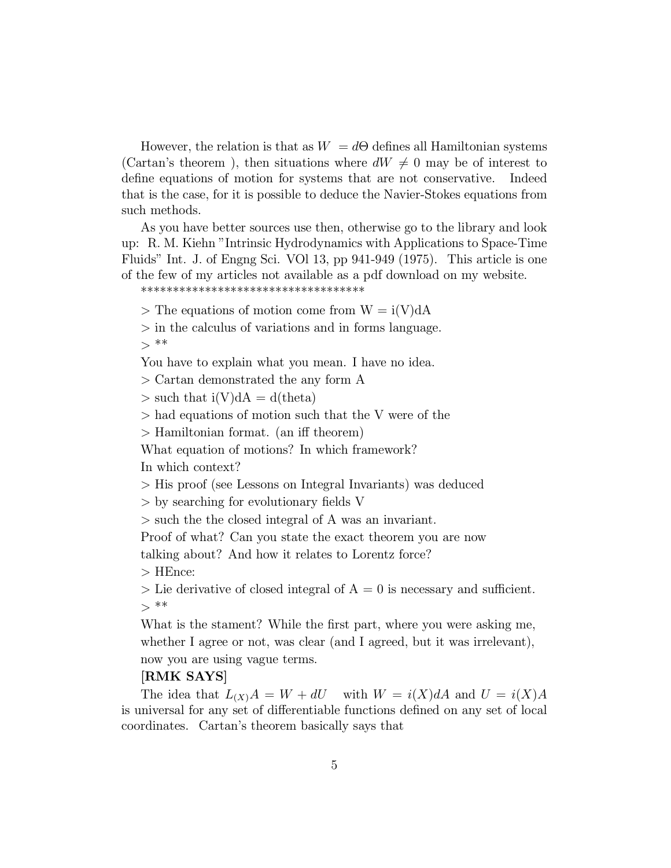However, the relation is that as  $W = d\Theta$  defines all Hamiltonian systems (Cartan's theorem), then situations where  $dW \neq 0$  may be of interest to define equations of motion for systems that are not conservative. Indeed that is the case, for it is possible to deduce the Navier-Stokes equations from such methods.

As you have better sources use then, otherwise go to the library and look up: R. M. Kiehn "Intrinsic Hydrodynamics with Applications to Space-Time Fluids" Int. J. of Engng Sci. VOl 13, pp 941-949 (1975). This article is one of the few of my articles not available as a pdf download on my website.

\*\*\*\*\*\*\*\*\*\*\*\*\*\*\*\*\*\*\*\*\*\*\*\*\*\*\*\*\*\*\*\*\*\*\*

 $>$  The equations of motion come from  $W = i(V)dA$ 

> in the calculus of variations and in forms language.  $>***$ 

You have to explain what you mean. I have no idea.

> Cartan demonstrated the any form A

 $>$  such that i(V)dA = d(theta)

> had equations of motion such that the V were of the

 $>$  Hamiltonian format. (an iff theorem)

What equation of motions? In which framework?

In which context?

> His proof (see Lessons on Integral Invariants) was deduced

 $>$  by searching for evolutionary fields V

> such the the closed integral of A was an invariant.

Proof of what? Can you state the exact theorem you are now

talking about? And how it relates to Lorentz force?

> HEnce:

 $>$  Lie derivative of closed integral of A = 0 is necessary and sufficient.  $>***$ 

What is the stament? While the first part, where you were asking me, whether I agree or not, was clear (and I agreed, but it was irrelevant), now you are using vague terms.

#### [RMK SAYS]

The idea that  $L(x)A = W + dU$  with  $W = i(X)dA$  and  $U = i(X)A$ is universal for any set of differentiable functions defined on any set of local coordinates. Cartan's theorem basically says that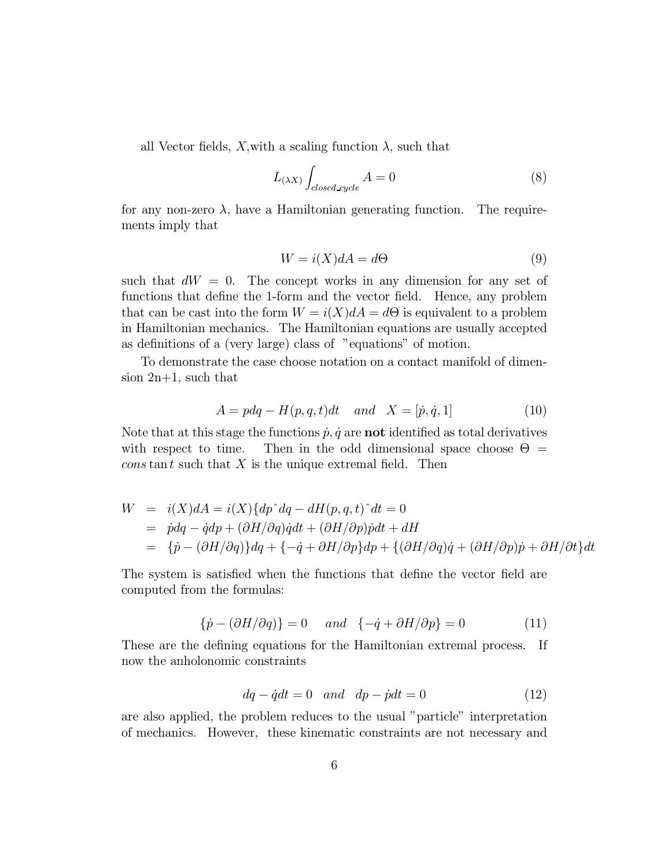all Vector fields, X, with a scaling function  $\lambda$ , such that

$$
L_{(\lambda X)} \int_{closed-cycle} A = 0 \tag{8}
$$

for any non-zero  $\lambda$ , have a Hamiltonian generating function. The requirements imply that

$$
W = i(X)dA = d\Theta
$$
\n(9)

such that  $dW = 0$ . The concept works in any dimension for any set of functions that define the 1-form and the vector field. Hence, any problem that can be cast into the form  $W = i(X)dA = d\Theta$  is equivalent to a problem in Hamiltonian mechanics. The Hamiltonian equations are usually accepted as definitions of a (very large) class of "equations" of motion.

To demonstrate the case choose notation on a contact manifold of dimension 2n+1, such that

$$
A = pdq - H(p, q, t)dt \quad and \quad X = [\dot{p}, \dot{q}, 1]
$$
\n
$$
(10)
$$

Note that at this stage the functions  $\dot{p}$ ,  $\dot{q}$  are not identified as total derivatives with respect to time. Then in the odd dimensional space choose  $\Theta =$  $\cos \tan t$  such that X is the unique extremal field. Then

$$
W = i(X)dA = i(X){dp^d q - dH(p, q, t)^d} = 0
$$
  
=  $pdq - ddp + (\partial H/\partial q)qdt + (\partial H/\partial p)qdt + dH$   
=  ${p - (\partial H/\partial q)}dq + {-q + \partial H/\partial p}dp + {(\partial H/\partial q)q + (\partial H/\partial p)q + \partial H/\partial t}dt$ 

The system is satisfied when the functions that define the vector field are computed from the formulas:

$$
\{\dot{p} - (\partial H/\partial q)\} = 0 \quad \text{and} \quad \{-\dot{q} + \partial H/\partial p\} = 0 \tag{11}
$$

These are the defining equations for the Hamiltonian extremal process. If now the anholonomic constraints

$$
dq - \dot{q}dt = 0 \quad and \quad dp - \dot{p}dt = 0 \tag{12}
$$

are also applied, the problem reduces to the usual "particle" interpretation of mechanics. However, these kinematic constraints are not necessary and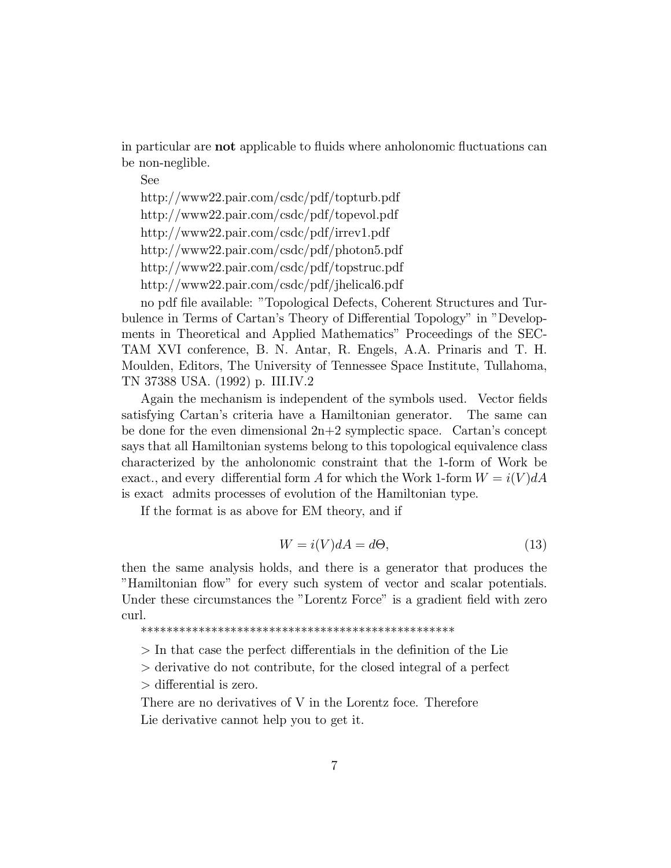in particular are **not** applicable to fluids where anholonomic fluctuations can be non-neglible.

See

http://www22.pair.com/csdc/pdf/topturb.pdf http://www22.pair.com/csdc/pdf/topevol.pdf http://www22.pair.com/csdc/pdf/irrev1.pdf http://www22.pair.com/csdc/pdf/photon5.pdf http://www22.pair.com/csdc/pdf/topstruc.pdf http://www22.pair.com/csdc/pdf/jhelical6.pdf

no pdf file available: "Topological Defects, Coherent Structures and Turbulence in Terms of Cartan's Theory of Differential Topology" in "Developments in Theoretical and Applied Mathematics" Proceedings of the SEC-TAM XVI conference, B. N. Antar, R. Engels, A.A. Prinaris and T. H. Moulden, Editors, The University of Tennessee Space Institute, Tullahoma, TN 37388 USA. (1992) p. III.IV.2

Again the mechanism is independent of the symbols used. Vector fields satisfying Cartan's criteria have a Hamiltonian generator. The same can be done for the even dimensional  $2n+2$  symplectic space. Cartan's concept says that all Hamiltonian systems belong to this topological equivalence class characterized by the anholonomic constraint that the 1-form of Work be exact., and every differential form A for which the Work 1-form  $W = i(V) dA$ is exact admits processes of evolution of the Hamiltonian type.

If the format is as above for EM theory, and if

$$
W = i(V)dA = d\Theta,
$$
\n(13)

then the same analysis holds, and there is a generator that produces the "Hamiltonian flow" for every such system of vector and scalar potentials. Under these circumstances the "Lorentz Force" is a gradient field with zero curl.

\*\*\*\*\*\*\*\*\*\*\*\*\*\*\*\*\*\*\*\*\*\*\*\*\*\*\*\*\*\*\*\*\*\*\*\*\*\*\*\*\*\*\*\*\*\*\*\*\*

 $>$  In that case the perfect differentials in the definition of the Lie

> derivative do not contribute, for the closed integral of a perfect

 $>$  differential is zero.

There are no derivatives of V in the Lorentz foce. Therefore Lie derivative cannot help you to get it.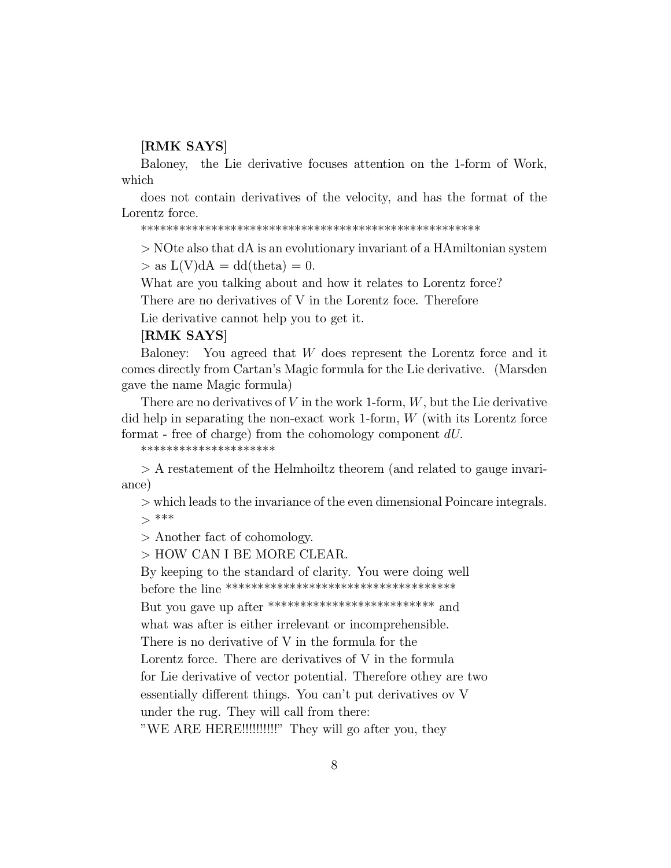## [RMK SAYS]

Baloney, the Lie derivative focuses attention on the 1-form of Work, which

does not contain derivatives of the velocity, and has the format of the Lorentz force.

 $>$  NOte also that dA is an evolutionary invariant of a HA miltonian system

 $>$  as  $L(V)dA = dd(theta) = 0.$ 

What are you talking about and how it relates to Lorentz force?

There are no derivatives of V in the Lorentz foce. Therefore

Lie derivative cannot help you to get it.

#### **RMK SAYS**

You agreed that  $W$  does represent the Lorentz force and it Baloney: comes directly from Cartan's Magic formula for the Lie derivative. (Marsden gave the name Magic formula)

There are no derivatives of  $V$  in the work 1-form,  $W$ , but the Lie derivative did help in separating the non-exact work 1-form,  $W$  (with its Lorentz force format - free of charge) from the cohomology component  $dU$ .

\*\*\*\*\*\*\*\*\*\*\*\*\*\*\*\*\*\*\*\*\*

 $> A$  restatement of the Helmhoiltz theorem (and related to gauge invariance)

 $\mathcal{V}$  which leads to the invariance of the even dimensional Poincare integrals.  $>***$ 

 $>$  Another fact of cohomology.

> HOW CAN I BE MORE CLEAR.

By keeping to the standard of clarity. You were doing well 

But you gave up after \*\*\*\*\*\*\*\*\*\*\*\*\*\*\*\*\*\*\*\*\*\*\*\*\*\*\*\*\* and

what was after is either irrelevant or incomprehensible.

There is no derivative of V in the formula for the

Lorentz force. There are derivatives of V in the formula

for Lie derivative of vector potential. Therefore othey are two

essentially different things. You can't put derivatives ov V

under the rug. They will call from there:

"WE ARE HERE!!!!!!!!!!!!" They will go after you, they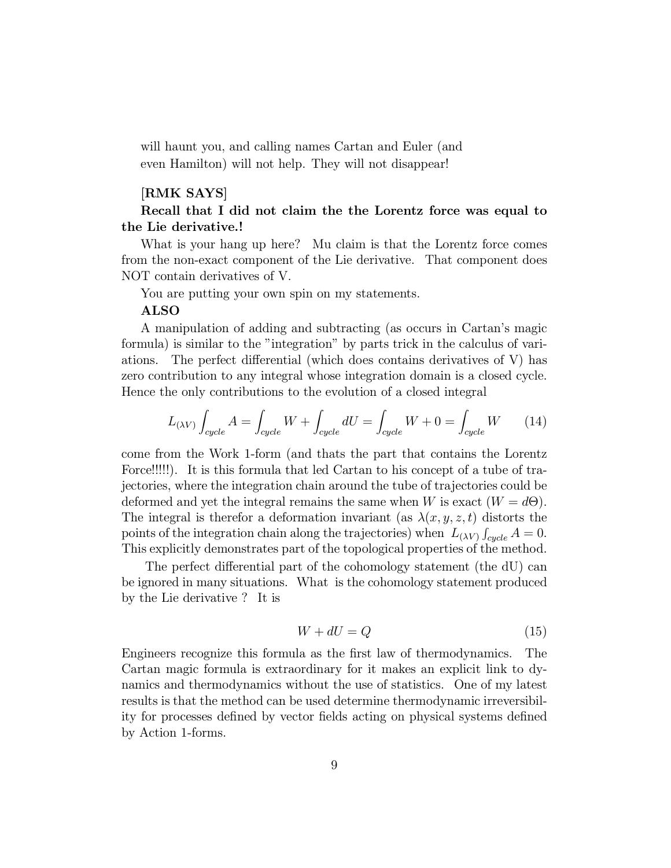will haunt you, and calling names Cartan and Euler (and even Hamilton) will not help. They will not disappear!

## [RMK SAYS]

# Recall that I did not claim the the Lorentz force was equal to the Lie derivative.!

What is your hang up here? Mu claim is that the Lorentz force comes from the non-exact component of the Lie derivative. That component does NOT contain derivatives of V.

You are putting your own spin on my statements.

#### ALSO

A manipulation of adding and subtracting (as occurs in Cartan's magic formula) is similar to the "integration" by parts trick in the calculus of variations. The perfect differential (which does contains derivatives of  $V$ ) has zero contribution to any integral whose integration domain is a closed cycle. Hence the only contributions to the evolution of a closed integral

$$
L_{(\lambda V)} \int_{cycle} A = \int_{cycle} W + \int_{cycle} dU = \int_{cycle} W + 0 = \int_{cycle} W \tag{14}
$$

come from the Work 1-form (and thats the part that contains the Lorentz Force!!!!!). It is this formula that led Cartan to his concept of a tube of trajectories, where the integration chain around the tube of trajectories could be deformed and yet the integral remains the same when W is exact  $(W = d\Theta)$ . The integral is therefor a deformation invariant (as  $\lambda(x, y, z, t)$  distorts the points of the integration chain along the trajectories) when  $L_{(\lambda V)}$   $\int_{cycle} A = 0$ . This explicitly demonstrates part of the topological properties of the method.

The perfect differential part of the cohomology statement (the dU) can be ignored in many situations. What is the cohomology statement produced by the Lie derivative ? It is

$$
W + dU = Q \tag{15}
$$

Engineers recognize this formula as the first law of thermodynamics. The Cartan magic formula is extraordinary for it makes an explicit link to dynamics and thermodynamics without the use of statistics. One of my latest results is that the method can be used determine thermodynamic irreversibility for processes defined by vector fields acting on physical systems defined by Action 1-forms.